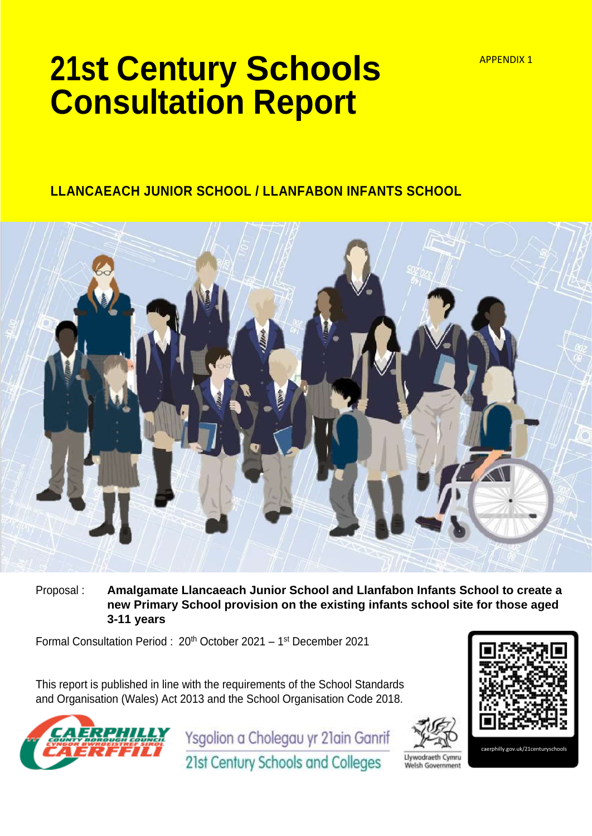# **21st Century Schools Consultation Report**

### **LLANCAEACH JUNIOR SCHOOL / LLANFABON INFANTS SCHOOL**



Proposal : **Amalgamate Llancaeach Junior School and Llanfabon Infants School to create a new Primary School provision on the existing infants school site for those aged 3-11 years** 

Formal Consultation Period : 20<sup>th</sup> October 2021 – 1<sup>st</sup> December 2021

This report is published in line with the requirements of the School Standards and Organisation (Wales) Act 2013 and the School Organisation Code 2018.



Ysgolion a Cholegau yr 21ain Ganrif





illy.gov.uk/21c

21st Century Schools and Colleges

Llywodraeth Cymru Welsh Government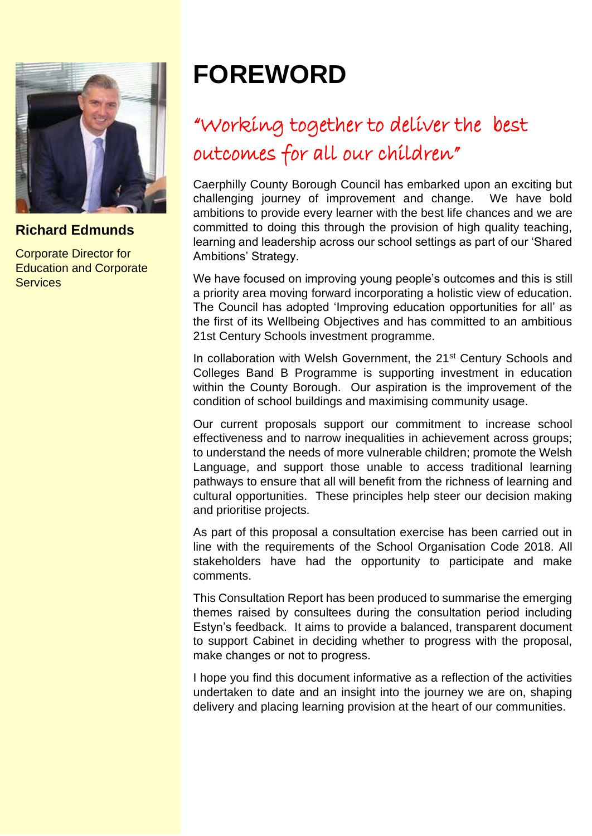

### **Richard Edmunds**

Corporate Director for Education and Corporate **Services** 

## **FOREWORD**

## "Working together to deliver the best outcomes for all our children"

Caerphilly County Borough Council has embarked upon an exciting but challenging journey of improvement and change. We have bold ambitions to provide every learner with the best life chances and we are committed to doing this through the provision of high quality teaching, learning and leadership across our school settings as part of our 'Shared Ambitions' Strategy.

We have focused on improving young people's outcomes and this is still a priority area moving forward incorporating a holistic view of education. The Council has adopted 'Improving education opportunities for all' as the first of its Wellbeing Objectives and has committed to an ambitious 21st Century Schools investment programme.

In collaboration with Welsh Government, the 21<sup>st</sup> Century Schools and Colleges Band B Programme is supporting investment in education within the County Borough. Our aspiration is the improvement of the condition of school buildings and maximising community usage.

Our current proposals support our commitment to increase school effectiveness and to narrow inequalities in achievement across groups; to understand the needs of more vulnerable children; promote the Welsh Language, and support those unable to access traditional learning pathways to ensure that all will benefit from the richness of learning and cultural opportunities. These principles help steer our decision making and prioritise projects.

As part of this proposal a consultation exercise has been carried out in line with the requirements of the School Organisation Code 2018. All stakeholders have had the opportunity to participate and make comments.

This Consultation Report has been produced to summarise the emerging themes raised by consultees during the consultation period including Estyn's feedback. It aims to provide a balanced, transparent document to support Cabinet in deciding whether to progress with the proposal, make changes or not to progress.

I hope you find this document informative as a reflection of the activities undertaken to date and an insight into the journey we are on, shaping delivery and placing learning provision at the heart of our communities.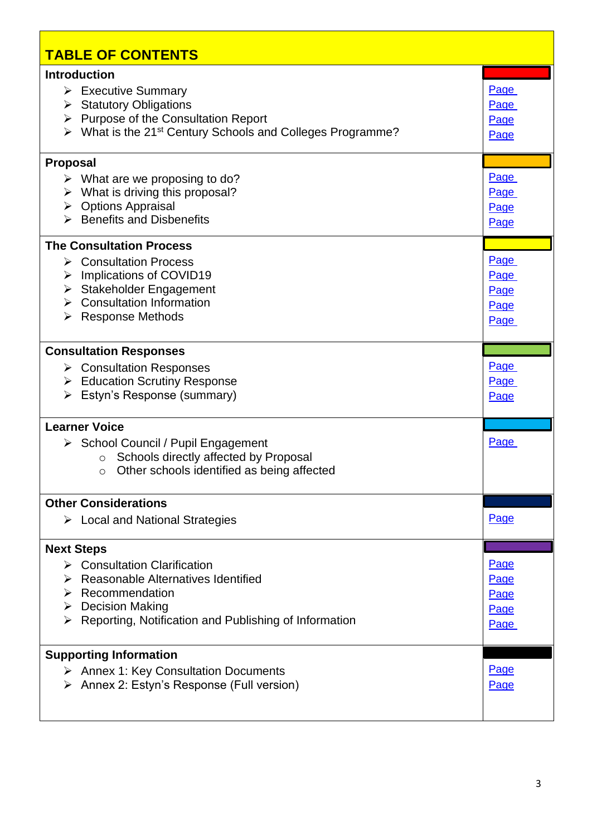| <b>TABLE OF CONTENTS</b>                                                                                                                                                                                                                    |                                      |
|---------------------------------------------------------------------------------------------------------------------------------------------------------------------------------------------------------------------------------------------|--------------------------------------|
| <b>Introduction</b><br>$\triangleright$ Executive Summary<br>$\triangleright$ Statutory Obligations<br>$\triangleright$ Purpose of the Consultation Report<br>What is the 21 <sup>st</sup> Century Schools and Colleges Programme?<br>≻     | Page<br>Page<br>Page<br>Page         |
| <b>Proposal</b><br>$\triangleright$ What are we proposing to do?<br>What is driving this proposal?<br>➤<br>$\triangleright$ Options Appraisal<br>$\triangleright$ Benefits and Disbenefits                                                  | Page<br>Page<br>Page<br>Page         |
| <b>The Consultation Process</b><br><b>≻</b> Consultation Process<br>Implications of COVID19<br>➤<br>Stakeholder Engagement<br>➤<br><b>Consultation Information</b><br>↘<br><b>Response Methods</b><br>➤                                     | Page<br>Page<br>Page<br>Page<br>Page |
| <b>Consultation Responses</b><br>$\triangleright$ Consultation Responses<br>> Education Scrutiny Response<br>Estyn's Response (summary)<br>➤                                                                                                | Page<br>Page<br>Page                 |
| <b>Learner Voice</b><br>▶ School Council / Pupil Engagement<br>Schools directly affected by Proposal<br>$\circ$<br>Other schools identified as being affected<br>$\circ$                                                                    | Page                                 |
| <b>Other Considerations</b><br>$\triangleright$ Local and National Strategies                                                                                                                                                               | Page                                 |
| <b>Next Steps</b><br>$\triangleright$ Consultation Clarification<br>Reasonable Alternatives Identified<br>$\triangleright$ Recommendation<br>$\triangleright$ Decision Making<br>Reporting, Notification and Publishing of Information<br>➤ | Page<br>Page<br>Page<br>Page<br>Page |
| <b>Supporting Information</b><br><b>Annex 1: Key Consultation Documents</b><br>➤<br>Annex 2: Estyn's Response (Full version)                                                                                                                | Page<br>Page                         |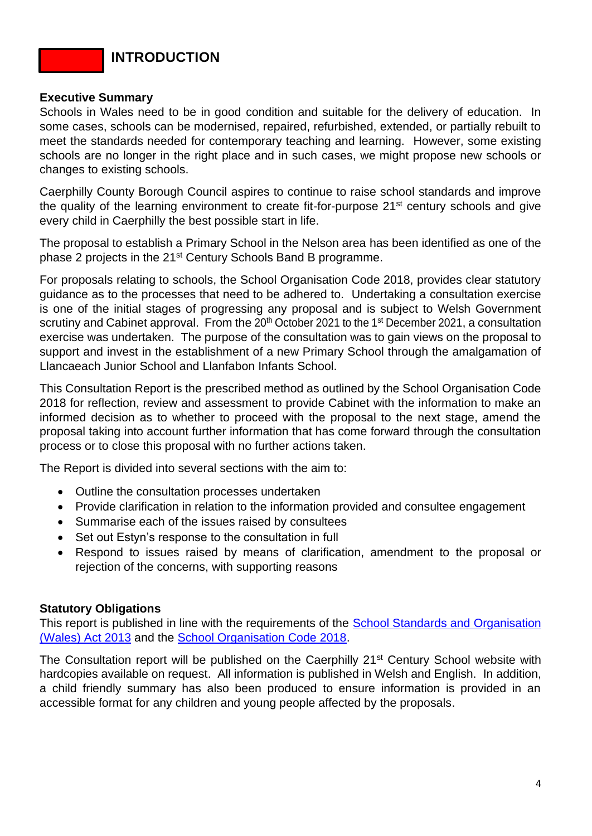### **INTRODUCTION**

#### <span id="page-3-0"></span>**Executive Summary**

Schools in Wales need to be in good condition and suitable for the delivery of education. In some cases, schools can be modernised, repaired, refurbished, extended, or partially rebuilt to meet the standards needed for contemporary teaching and learning. However, some existing schools are no longer in the right place and in such cases, we might propose new schools or changes to existing schools.

Caerphilly County Borough Council aspires to continue to raise school standards and improve the quality of the learning environment to create fit-for-purpose 21<sup>st</sup> century schools and give every child in Caerphilly the best possible start in life.

The proposal to establish a Primary School in the Nelson area has been identified as one of the phase 2 projects in the 21<sup>st</sup> Century Schools Band B programme.

For proposals relating to schools, the School Organisation Code 2018, provides clear statutory guidance as to the processes that need to be adhered to. Undertaking a consultation exercise is one of the initial stages of progressing any proposal and is subject to Welsh Government scrutiny and Cabinet approval. From the  $20<sup>th</sup>$  October 2021 to the 1<sup>st</sup> December 2021, a consultation exercise was undertaken. The purpose of the consultation was to gain views on the proposal to support and invest in the establishment of a new Primary School through the amalgamation of Llancaeach Junior School and Llanfabon Infants School.

This Consultation Report is the prescribed method as outlined by the School Organisation Code 2018 for reflection, review and assessment to provide Cabinet with the information to make an informed decision as to whether to proceed with the proposal to the next stage, amend the proposal taking into account further information that has come forward through the consultation process or to close this proposal with no further actions taken.

The Report is divided into several sections with the aim to:

- Outline the consultation processes undertaken
- Provide clarification in relation to the information provided and consultee engagement
- Summarise each of the issues raised by consultees
- Set out Estyn's response to the consultation in full
- Respond to issues raised by means of clarification, amendment to the proposal or rejection of the concerns, with supporting reasons

### <span id="page-3-1"></span>**Statutory Obligations**

This report is published in line with the requirements of the School Standards and Organisation [\(Wales\) Act 2013](https://www.legislation.gov.uk/anaw/2013/1/contents/enacted) and the [School Organisation Code 2018.](https://gov.wales/sites/default/files/publications/2018-10/school-organisation-code-second-edition.pdf)

The Consultation report will be published on the Caerphilly 21<sup>st</sup> Century School website with hardcopies available on request. All information is published in Welsh and English. In addition, a child friendly summary has also been produced to ensure information is provided in an accessible format for any children and young people affected by the proposals.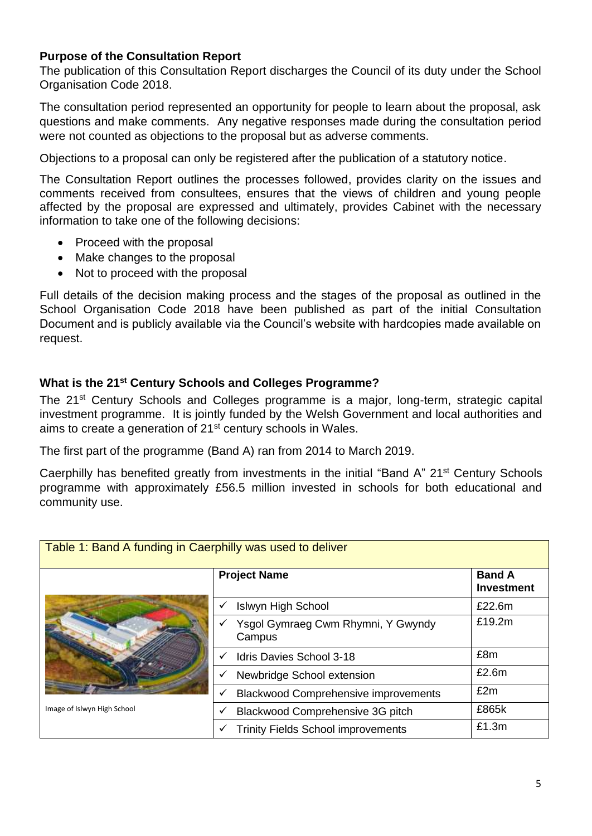### <span id="page-4-0"></span>**Purpose of the Consultation Report**

The publication of this Consultation Report discharges the Council of its duty under the School Organisation Code 2018.

The consultation period represented an opportunity for people to learn about the proposal, ask questions and make comments. Any negative responses made during the consultation period were not counted as objections to the proposal but as adverse comments.

Objections to a proposal can only be registered after the publication of a statutory notice.

The Consultation Report outlines the processes followed, provides clarity on the issues and comments received from consultees, ensures that the views of children and young people affected by the proposal are expressed and ultimately, provides Cabinet with the necessary information to take one of the following decisions:

- Proceed with the proposal
- Make changes to the proposal
- Not to proceed with the proposal

Full details of the decision making process and the stages of the proposal as outlined in the School Organisation Code 2018 have been published as part of the initial Consultation Document and is publicly available via the Council's website with hardcopies made available on request.

### <span id="page-4-1"></span>**What is the 21st Century Schools and Colleges Programme?**

The 21<sup>st</sup> Century Schools and Colleges programme is a major, long-term, strategic capital investment programme. It is jointly funded by the Welsh Government and local authorities and aims to create a generation of 21<sup>st</sup> century schools in Wales.

The first part of the programme (Band A) ran from 2014 to March 2019.

Caerphilly has benefited greatly from investments in the initial "Band A" 21<sup>st</sup> Century Schools programme with approximately £56.5 million invested in schools for both educational and community use.

| Table 1: Band A funding in Caerphilly was used to deliver |                                              |                                    |  |  |
|-----------------------------------------------------------|----------------------------------------------|------------------------------------|--|--|
|                                                           | <b>Project Name</b>                          | <b>Band A</b><br><b>Investment</b> |  |  |
|                                                           | <b>Islwyn High School</b>                    | £22.6m                             |  |  |
| Image of Islwyn High School                               | Ysgol Gymraeg Cwm Rhymni, Y Gwyndy<br>Campus | £19.2m                             |  |  |
|                                                           | Idris Davies School 3-18<br>$\checkmark$     | £8m                                |  |  |
|                                                           | Newbridge School extension<br>$\checkmark$   | £2.6m                              |  |  |
|                                                           | <b>Blackwood Comprehensive improvements</b>  | £2m                                |  |  |
|                                                           | Blackwood Comprehensive 3G pitch             | £865k                              |  |  |
|                                                           | <b>Trinity Fields School improvements</b>    | £1.3m                              |  |  |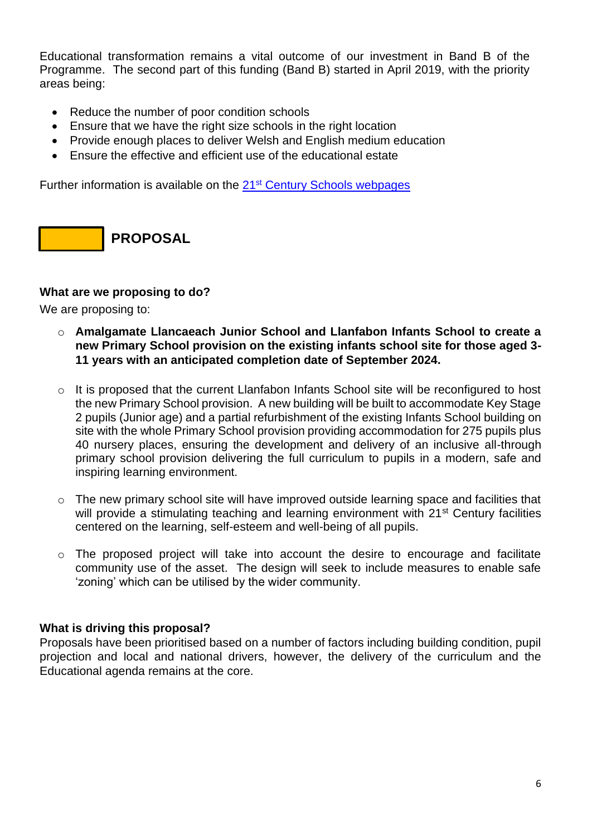Educational transformation remains a vital outcome of our investment in Band B of the Programme. The second part of this funding (Band B) started in April 2019, with the priority areas being:

- Reduce the number of poor condition schools
- Ensure that we have the right size schools in the right location
- Provide enough places to deliver Welsh and English medium education
- Ensure the effective and efficient use of the educational estate

Further information is available on the 21<sup>st</sup> [Century Schools webpages](http://www.caerphilly.gov.uk/Services/Schools-and-learning/21st-Century-Schools)

**PROPOSAL**

### <span id="page-5-0"></span>**What are we proposing to do?**

We are proposing to:

- o **Amalgamate Llancaeach Junior School and Llanfabon Infants School to create a new Primary School provision on the existing infants school site for those aged 3- 11 years with an anticipated completion date of September 2024.**
- $\circ$  It is proposed that the current Llanfabon Infants School site will be reconfigured to host the new Primary School provision. A new building will be built to accommodate Key Stage 2 pupils (Junior age) and a partial refurbishment of the existing Infants School building on site with the whole Primary School provision providing accommodation for 275 pupils plus 40 nursery places, ensuring the development and delivery of an inclusive all-through primary school provision delivering the full curriculum to pupils in a modern, safe and inspiring learning environment.
- o The new primary school site will have improved outside learning space and facilities that will provide a stimulating teaching and learning environment with 21<sup>st</sup> Century facilities centered on the learning, self-esteem and well-being of all pupils.
- $\circ$  The proposed project will take into account the desire to encourage and facilitate community use of the asset. The design will seek to include measures to enable safe 'zoning' which can be utilised by the wider community.

### <span id="page-5-1"></span>**What is driving this proposal?**

Proposals have been prioritised based on a number of factors including building condition, pupil projection and local and national drivers, however, the delivery of the curriculum and the Educational agenda remains at the core.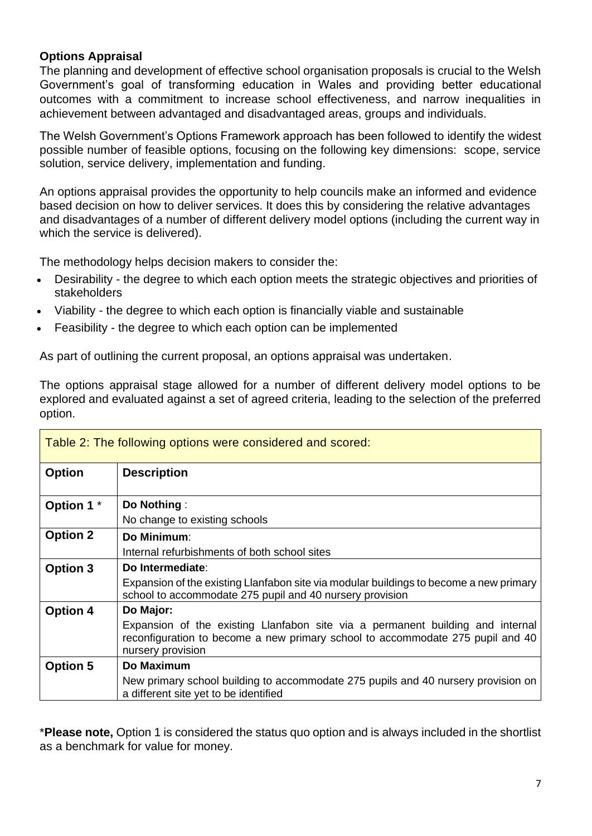### <span id="page-6-0"></span>**Options Appraisal**

The planning and development of effective school organisation proposals is crucial to the Welsh Government's goal of transforming education in Wales and providing better educational outcomes with a commitment to increase school effectiveness, and narrow inequalities in achievement between advantaged and disadvantaged areas, groups and individuals.

The Welsh Government's Options Framework approach has been followed to identify the widest possible number of feasible options, focusing on the following key dimensions: scope, service solution, service delivery, implementation and funding.

An options appraisal provides the opportunity to help councils make an informed and evidence based decision on how to deliver services. It does this by considering the relative advantages and disadvantages of a number of different delivery model options (including the current way in which the service is delivered).

The methodology helps decision makers to consider the:

- Desirability the degree to which each option meets the strategic objectives and priorities of stakeholders
- Viability the degree to which each option is financially viable and sustainable
- Feasibility the degree to which each option can be implemented

As part of outlining the current proposal, an options appraisal was undertaken.

The options appraisal stage allowed for a number of different delivery model options to be explored and evaluated against a set of agreed criteria, leading to the selection of the preferred option.

|                       | Table 2: The following options were considered and scored:                                                                                                                            |
|-----------------------|---------------------------------------------------------------------------------------------------------------------------------------------------------------------------------------|
| <b>Option</b>         | <b>Description</b>                                                                                                                                                                    |
| Option 1 <sup>*</sup> | Do Nothing:                                                                                                                                                                           |
|                       | No change to existing schools                                                                                                                                                         |
| <b>Option 2</b>       | Do Minimum:                                                                                                                                                                           |
|                       | Internal refurbishments of both school sites                                                                                                                                          |
| Option 3              | Do Intermediate:                                                                                                                                                                      |
|                       | Expansion of the existing Llanfabon site via modular buildings to become a new primary<br>school to accommodate 275 pupil and 40 nursery provision                                    |
| <b>Option 4</b>       | Do Major:                                                                                                                                                                             |
|                       | Expansion of the existing Llanfabon site via a permanent building and internal<br>reconfiguration to become a new primary school to accommodate 275 pupil and 40<br>nursery provision |
| <b>Option 5</b>       | Do Maximum                                                                                                                                                                            |
|                       | New primary school building to accommodate 275 pupils and 40 nursery provision on<br>a different site yet to be identified                                                            |

\***Please note,** Option 1 is considered the status quo option and is always included in the shortlist as a benchmark for value for money.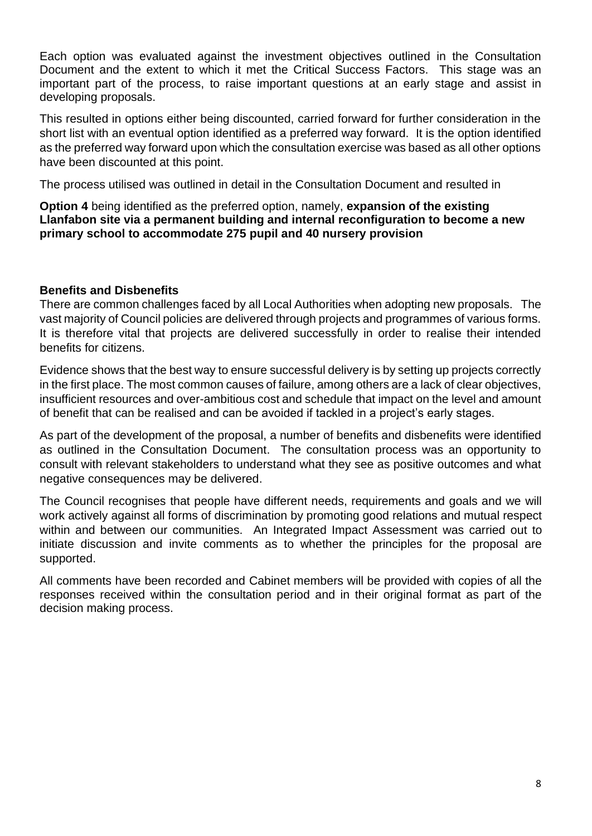Each option was evaluated against the investment objectives outlined in the Consultation Document and the extent to which it met the Critical Success Factors. This stage was an important part of the process, to raise important questions at an early stage and assist in developing proposals.

This resulted in options either being discounted, carried forward for further consideration in the short list with an eventual option identified as a preferred way forward. It is the option identified as the preferred way forward upon which the consultation exercise was based as all other options have been discounted at this point.

The process utilised was outlined in detail in the Consultation Document and resulted in

**Option 4** being identified as the preferred option, namely, **expansion of the existing Llanfabon site via a permanent building and internal reconfiguration to become a new primary school to accommodate 275 pupil and 40 nursery provision**

### <span id="page-7-0"></span>**Benefits and Disbenefits**

There are common challenges faced by all Local Authorities when adopting new proposals. The vast majority of Council policies are delivered through projects and programmes of various forms. It is therefore vital that projects are delivered successfully in order to realise their intended benefits for citizens.

Evidence shows that the best way to ensure successful delivery is by setting up projects correctly in the first place. The most common causes of failure, among others are a lack of clear objectives, insufficient resources and over-ambitious cost and schedule that impact on the level and amount of benefit that can be realised and can be avoided if tackled in a project's early stages.

As part of the development of the proposal, a number of benefits and disbenefits were identified as outlined in the Consultation Document. The consultation process was an opportunity to consult with relevant stakeholders to understand what they see as positive outcomes and what negative consequences may be delivered.

The Council recognises that people have different needs, requirements and goals and we will work actively against all forms of discrimination by promoting good relations and mutual respect within and between our communities. An Integrated Impact Assessment was carried out to initiate discussion and invite comments as to whether the principles for the proposal are supported.

All comments have been recorded and Cabinet members will be provided with copies of all the responses received within the consultation period and in their original format as part of the decision making process.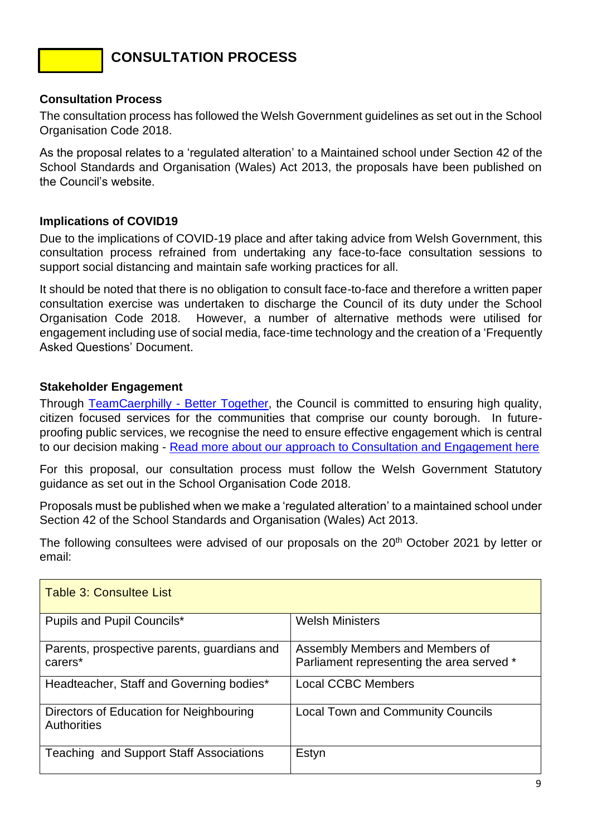### **CONSULTATION PROCESS**

### <span id="page-8-0"></span>**Consultation Process**

The consultation process has followed the Welsh Government guidelines as set out in the School Organisation Code 2018.

As the proposal relates to a 'regulated alteration' to a Maintained school under Section 42 of the School Standards and Organisation (Wales) Act 2013, the proposals have been published on the Council's website.

### <span id="page-8-1"></span>**Implications of COVID19**

Due to the implications of COVID-19 place and after taking advice from Welsh Government, this consultation process refrained from undertaking any face-to-face consultation sessions to support social distancing and maintain safe working practices for all.

It should be noted that there is no obligation to consult face-to-face and therefore a written paper consultation exercise was undertaken to discharge the Council of its duty under the School Organisation Code 2018. However, a number of alternative methods were utilised for engagement including use of social media, face-time technology and the creation of a 'Frequently Asked Questions' Document.

### <span id="page-8-2"></span>**Stakeholder Engagement**

Through [TeamCaerphilly -](https://www.caerphilly.gov.uk/tc-eng/) Better Together, the Council is committed to ensuring high quality, citizen focused services for the communities that comprise our county borough. In futureproofing public services, we recognise the need to ensure effective engagement which is central to our decision making - [Read more about our approach to Consultation and Engagement here](https://www.caerphilly.gov.uk/CaerphillyDocs/Consultations/Consultation-and-Engagement-Framework.aspx)

For this proposal, our consultation process must follow the Welsh Government Statutory guidance as set out in the School Organisation Code 2018.

Proposals must be published when we make a 'regulated alteration' to a maintained school under Section 42 of the School Standards and Organisation (Wales) Act 2013.

The following consultees were advised of our proposals on the 20<sup>th</sup> October 2021 by letter or email:

| Table 3: Consultee List                                       |                                                                              |
|---------------------------------------------------------------|------------------------------------------------------------------------------|
| Pupils and Pupil Councils*                                    | <b>Welsh Ministers</b>                                                       |
| Parents, prospective parents, guardians and<br>carers*        | Assembly Members and Members of<br>Parliament representing the area served * |
| Headteacher, Staff and Governing bodies*                      | <b>Local CCBC Members</b>                                                    |
| Directors of Education for Neighbouring<br><b>Authorities</b> | <b>Local Town and Community Councils</b>                                     |
| <b>Teaching and Support Staff Associations</b>                | Estyn                                                                        |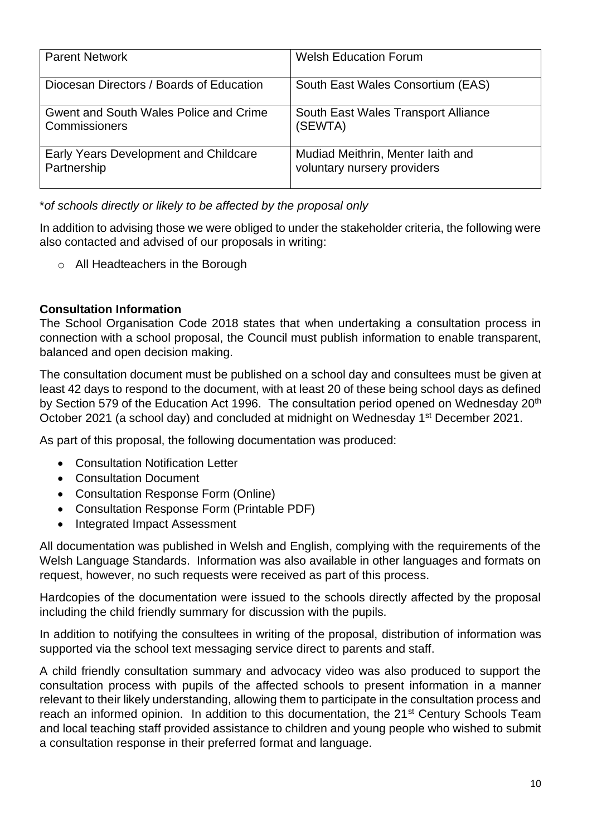| <b>Parent Network</b>                                   | <b>Welsh Education Forum</b>                                     |
|---------------------------------------------------------|------------------------------------------------------------------|
| Diocesan Directors / Boards of Education                | South East Wales Consortium (EAS)                                |
| Gwent and South Wales Police and Crime<br>Commissioners | South East Wales Transport Alliance<br>(SEWTA)                   |
| Early Years Development and Childcare<br>Partnership    | Mudiad Meithrin, Menter laith and<br>voluntary nursery providers |

\**of schools directly or likely to be affected by the proposal only*

In addition to advising those we were obliged to under the stakeholder criteria, the following were also contacted and advised of our proposals in writing:

o All Headteachers in the Borough

### <span id="page-9-0"></span>**Consultation Information**

The School Organisation Code 2018 states that when undertaking a consultation process in connection with a school proposal, the Council must publish information to enable transparent, balanced and open decision making.

The consultation document must be published on a school day and consultees must be given at least 42 days to respond to the document, with at least 20 of these being school days as defined by Section 579 of the Education Act 1996. The consultation period opened on Wednesday 20<sup>th</sup> October 2021 (a school day) and concluded at midnight on Wednesday 1<sup>st</sup> December 2021.

As part of this proposal, the following documentation was produced:

- Consultation Notification Letter
- Consultation Document
- Consultation Response Form (Online)
- Consultation Response Form (Printable PDF)
- Integrated Impact Assessment

All documentation was published in Welsh and English, complying with the requirements of the Welsh Language Standards. Information was also available in other languages and formats on request, however, no such requests were received as part of this process.

Hardcopies of the documentation were issued to the schools directly affected by the proposal including the child friendly summary for discussion with the pupils.

In addition to notifying the consultees in writing of the proposal, distribution of information was supported via the school text messaging service direct to parents and staff.

A child friendly consultation summary and advocacy video was also produced to support the consultation process with pupils of the affected schools to present information in a manner relevant to their likely understanding, allowing them to participate in the consultation process and reach an informed opinion. In addition to this documentation, the 21<sup>st</sup> Century Schools Team and local teaching staff provided assistance to children and young people who wished to submit a consultation response in their preferred format and language.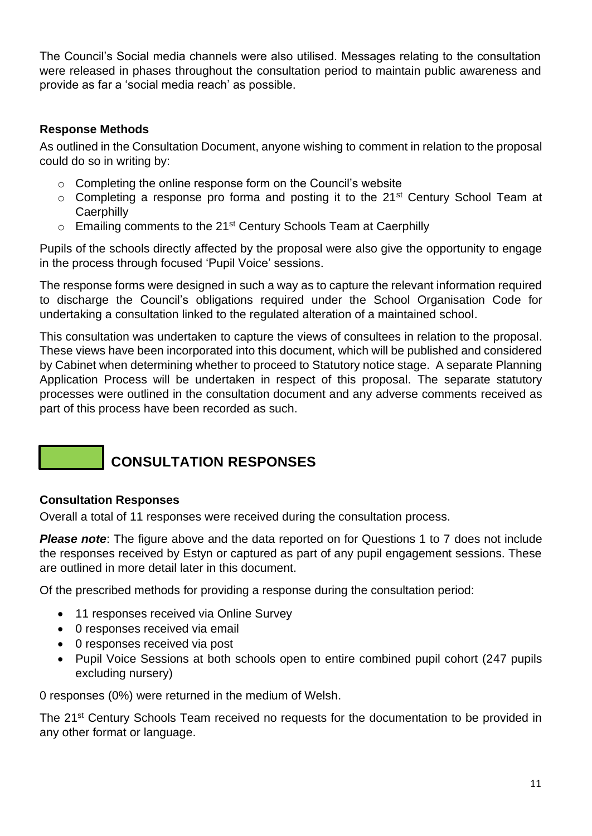The Council's Social media channels were also utilised. Messages relating to the consultation were released in phases throughout the consultation period to maintain public awareness and provide as far a 'social media reach' as possible.

### <span id="page-10-0"></span>**Response Methods**

As outlined in the Consultation Document, anyone wishing to comment in relation to the proposal could do so in writing by:

- $\circ$  Completing the online response form on the Council's website
- $\circ$  Completing a response pro forma and posting it to the 21<sup>st</sup> Century School Team at **Caerphilly**
- $\circ$  Emailing comments to the 21<sup>st</sup> Century Schools Team at Caerphilly

Pupils of the schools directly affected by the proposal were also give the opportunity to engage in the process through focused 'Pupil Voice' sessions.

The response forms were designed in such a way as to capture the relevant information required to discharge the Council's obligations required under the School Organisation Code for undertaking a consultation linked to the regulated alteration of a maintained school.

This consultation was undertaken to capture the views of consultees in relation to the proposal. These views have been incorporated into this document, which will be published and considered by Cabinet when determining whether to proceed to Statutory notice stage. A separate Planning Application Process will be undertaken in respect of this proposal. The separate statutory processes were outlined in the consultation document and any adverse comments received as part of this process have been recorded as such.

### **CONSULTATION RESPONSES**

### <span id="page-10-1"></span>**Consultation Responses**

Overall a total of 11 responses were received during the consultation process.

**Please note**: The figure above and the data reported on for Questions 1 to 7 does not include the responses received by Estyn or captured as part of any pupil engagement sessions. These are outlined in more detail later in this document.

Of the prescribed methods for providing a response during the consultation period:

- 11 responses received via Online Survey
- 0 responses received via email
- 0 responses received via post
- Pupil Voice Sessions at both schools open to entire combined pupil cohort (247 pupils excluding nursery)

0 responses (0%) were returned in the medium of Welsh.

The 21<sup>st</sup> Century Schools Team received no requests for the documentation to be provided in any other format or language.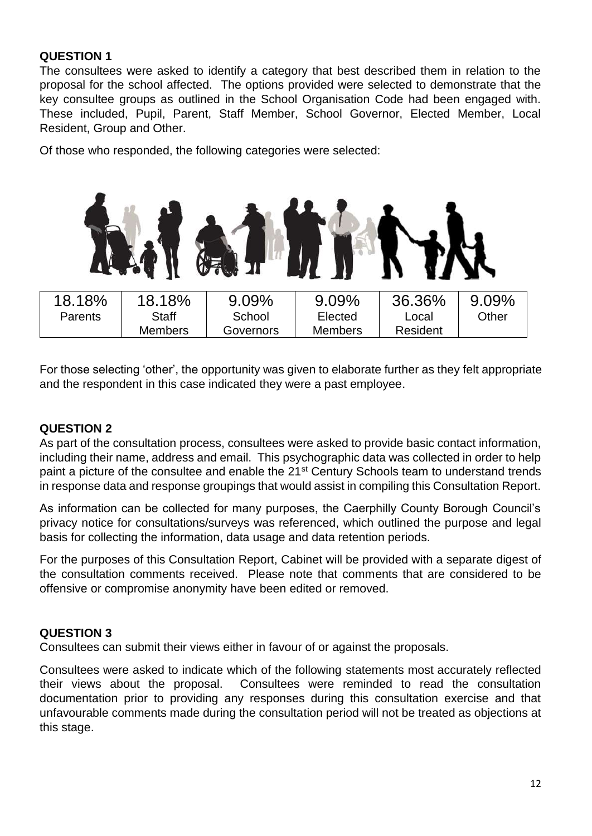### **QUESTION 1**

The consultees were asked to identify a category that best described them in relation to the proposal for the school affected. The options provided were selected to demonstrate that the key consultee groups as outlined in the School Organisation Code had been engaged with. These included, Pupil, Parent, Staff Member, School Governor, Elected Member, Local Resident, Group and Other.

Of those who responded, the following categories were selected:



For those selecting 'other', the opportunity was given to elaborate further as they felt appropriate and the respondent in this case indicated they were a past employee.

### **QUESTION 2**

As part of the consultation process, consultees were asked to provide basic contact information, including their name, address and email. This psychographic data was collected in order to help paint a picture of the consultee and enable the 21<sup>st</sup> Century Schools team to understand trends in response data and response groupings that would assist in compiling this Consultation Report.

As information can be collected for many purposes, the Caerphilly County Borough Council's privacy notice for consultations/surveys was referenced, which outlined the purpose and legal basis for collecting the information, data usage and data retention periods.

For the purposes of this Consultation Report, Cabinet will be provided with a separate digest of the consultation comments received. Please note that comments that are considered to be offensive or compromise anonymity have been edited or removed.

### **QUESTION 3**

Consultees can submit their views either in favour of or against the proposals.

Consultees were asked to indicate which of the following statements most accurately reflected their views about the proposal. Consultees were reminded to read the consultation documentation prior to providing any responses during this consultation exercise and that unfavourable comments made during the consultation period will not be treated as objections at this stage.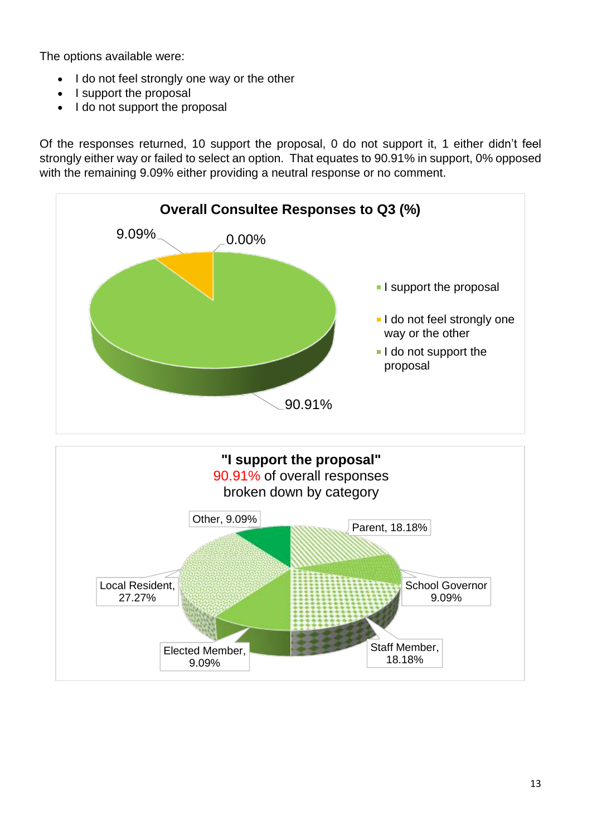The options available were:

- I do not feel strongly one way or the other
- I support the proposal
- I do not support the proposal

Of the responses returned, 10 support the proposal, 0 do not support it, 1 either didn't feel strongly either way or failed to select an option. That equates to 90.91% in support, 0% opposed with the remaining 9.09% either providing a neutral response or no comment.

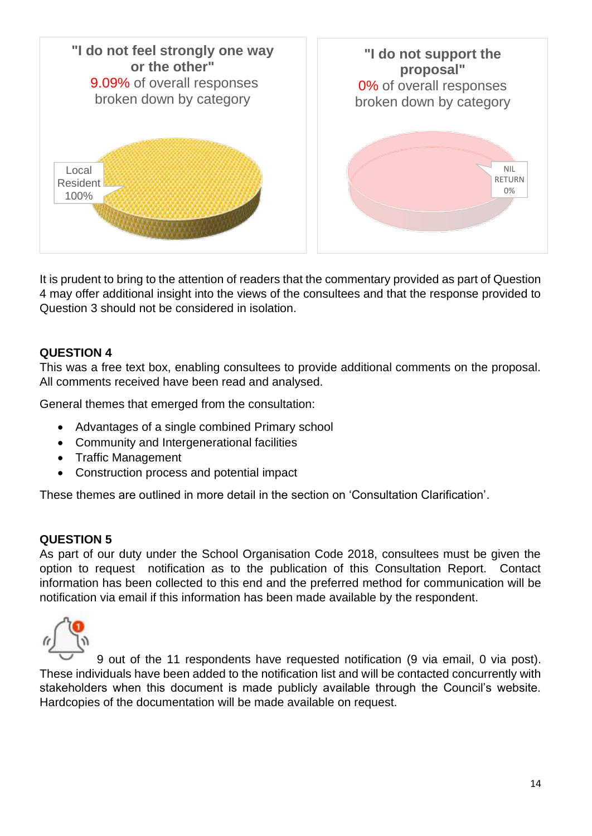

It is prudent to bring to the attention of readers that the commentary provided as part of Question 4 may offer additional insight into the views of the consultees and that the response provided to Question 3 should not be considered in isolation.

### **QUESTION 4**

This was a free text box, enabling consultees to provide additional comments on the proposal. All comments received have been read and analysed.

General themes that emerged from the consultation:

- Advantages of a single combined Primary school
- Community and Intergenerational facilities
- Traffic Management
- Construction process and potential impact

These themes are outlined in more detail in the section on 'Consultation Clarification'.

### **QUESTION 5**

As part of our duty under the School Organisation Code 2018, consultees must be given the option to request notification as to the publication of this Consultation Report. Contact information has been collected to this end and the preferred method for communication will be notification via email if this information has been made available by the respondent.



9 out of the 11 respondents have requested notification (9 via email, 0 via post). These individuals have been added to the notification list and will be contacted concurrently with stakeholders when this document is made publicly available through the Council's website. Hardcopies of the documentation will be made available on request.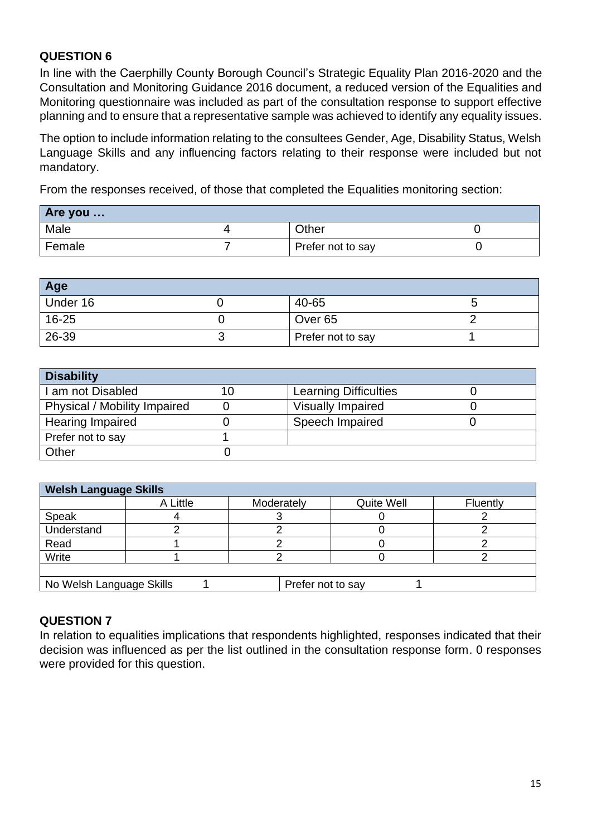### **QUESTION 6**

In line with the Caerphilly County Borough Council's Strategic Equality Plan 2016-2020 and the Consultation and Monitoring Guidance 2016 document, a reduced version of the Equalities and Monitoring questionnaire was included as part of the consultation response to support effective planning and to ensure that a representative sample was achieved to identify any equality issues.

The option to include information relating to the consultees Gender, Age, Disability Status, Welsh Language Skills and any influencing factors relating to their response were included but not mandatory.

From the responses received, of those that completed the Equalities monitoring section:

| Are you |                   |  |
|---------|-------------------|--|
| Male    | Other             |  |
| Female  | Prefer not to say |  |

| Age       |                    |  |
|-----------|--------------------|--|
| Under 16  | 40-65              |  |
| $16 - 25$ | Over <sub>65</sub> |  |
| 26-39     | Prefer not to say  |  |

| <b>Disability</b>            |    |                              |  |
|------------------------------|----|------------------------------|--|
| I am not Disabled            | 10 | <b>Learning Difficulties</b> |  |
| Physical / Mobility Impaired |    | <b>Visually Impaired</b>     |  |
| <b>Hearing Impaired</b>      |    | Speech Impaired              |  |
| Prefer not to say            |    |                              |  |
| Other                        |    |                              |  |

| <b>Welsh Language Skills</b>                  |          |            |            |          |
|-----------------------------------------------|----------|------------|------------|----------|
|                                               | A Little | Moderately | Quite Well | Fluently |
| Speak                                         |          |            |            |          |
| Understand                                    |          |            |            |          |
| Read                                          |          |            |            |          |
| Write                                         |          |            |            |          |
|                                               |          |            |            |          |
| No Welsh Language Skills<br>Prefer not to say |          |            |            |          |

### **QUESTION 7**

In relation to equalities implications that respondents highlighted, responses indicated that their decision was influenced as per the list outlined in the consultation response form. 0 responses were provided for this question.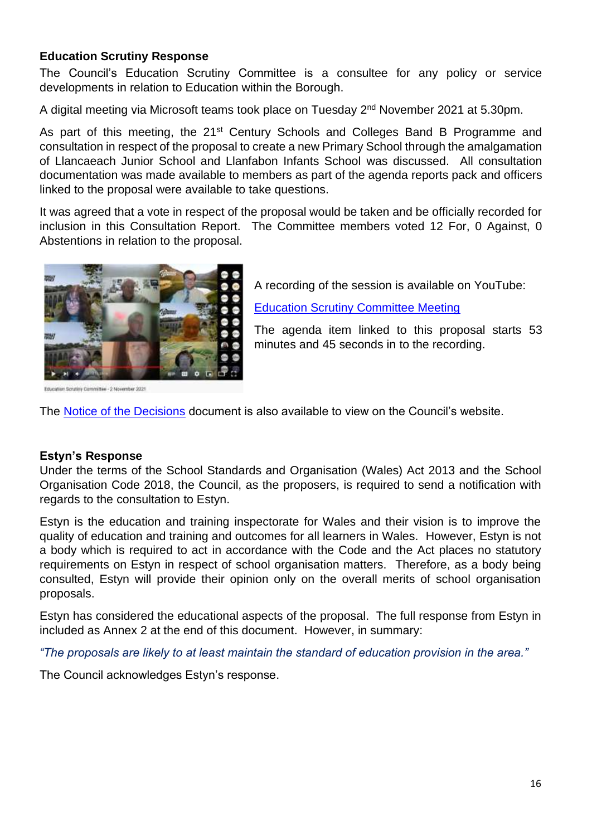### <span id="page-15-0"></span>**Education Scrutiny Response**

The Council's Education Scrutiny Committee is a consultee for any policy or service developments in relation to Education within the Borough.

A digital meeting via Microsoft teams took place on Tuesday 2<sup>nd</sup> November 2021 at 5.30pm.

As part of this meeting, the 21<sup>st</sup> Century Schools and Colleges Band B Programme and consultation in respect of the proposal to create a new Primary School through the amalgamation of Llancaeach Junior School and Llanfabon Infants School was discussed. All consultation documentation was made available to members as part of the agenda reports pack and officers linked to the proposal were available to take questions.

It was agreed that a vote in respect of the proposal would be taken and be officially recorded for inclusion in this Consultation Report. The Committee members voted 12 For, 0 Against, 0 Abstentions in relation to the proposal.



Hau - 2 November 2021

A recording of the session is available on YouTube:

[Education Scrutiny Committee Meeting](https://www.youtube.com/watch?v=OYLS9neg38w)

The agenda item linked to this proposal starts 53 minutes and 45 seconds in to the recording.

The [Notice of the Decisions](https://democracy.caerphilly.gov.uk/documents/s500004603/NOTICE%20OF%20THE%20EDUCATION%20SCRUTINY%20COMMITTEE%20DECISIONS%20FROM%20THE%20MEETING%20HELD%20ON%20TUESDAY%202ND%20NOVEMBER%202.pdf?LLL=0) document is also available to view on the Council's website.

### <span id="page-15-1"></span>**Estyn's Response**

Under the terms of the School Standards and Organisation (Wales) Act 2013 and the School Organisation Code 2018, the Council, as the proposers, is required to send a notification with regards to the consultation to Estyn.

Estyn is the education and training inspectorate for Wales and their vision is to improve the quality of education and training and outcomes for all learners in Wales. However, Estyn is not a body which is required to act in accordance with the Code and the Act places no statutory requirements on Estyn in respect of school organisation matters. Therefore, as a body being consulted, Estyn will provide their opinion only on the overall merits of school organisation proposals.

Estyn has considered the educational aspects of the proposal. The full response from Estyn in included as Annex 2 at the end of this document. However, in summary:

*"The proposals are likely to at least maintain the standard of education provision in the area."* 

The Council acknowledges Estyn's response.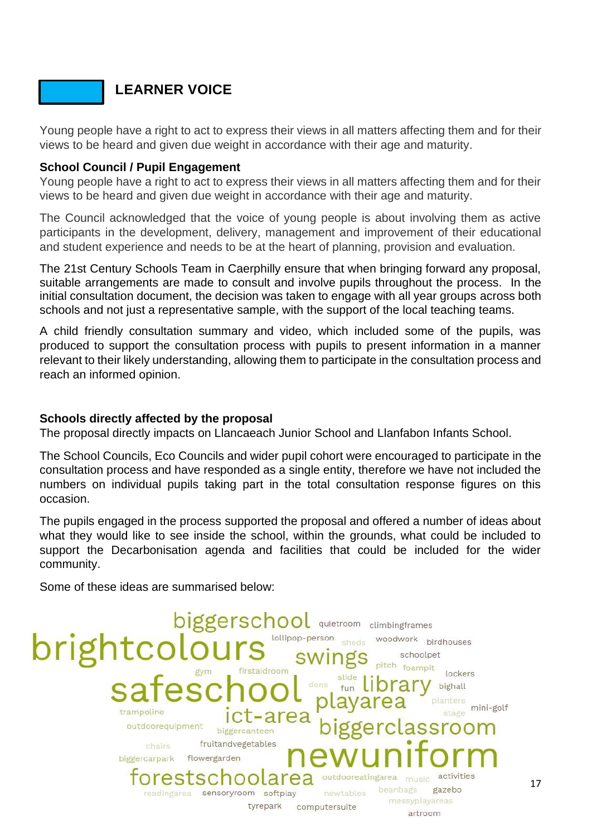### **LEARNER VOICE**

Young people have a right to act to express their views in all matters affecting them and for their views to be heard and given due weight in accordance with their age and maturity.

### <span id="page-16-0"></span>**School Council / Pupil Engagement**

Young people have a right to act to express their views in all matters affecting them and for their views to be heard and given due weight in accordance with their age and maturity.

The Council acknowledged that the voice of young people is about involving them as active participants in the development, delivery, management and improvement of their educational and student experience and needs to be at the heart of planning, provision and evaluation.

The 21st Century Schools Team in Caerphilly ensure that when bringing forward any proposal, suitable arrangements are made to consult and involve pupils throughout the process. In the initial consultation document, the decision was taken to engage with all year groups across both schools and not just a representative sample, with the support of the local teaching teams.

A child friendly consultation summary and video, which included some of the pupils, was produced to support the consultation process with pupils to present information in a manner relevant to their likely understanding, allowing them to participate in the consultation process and reach an informed opinion.

### **Schools directly affected by the proposal**

The proposal directly impacts on Llancaeach Junior School and Llanfabon Infants School.

The School Councils, Eco Councils and wider pupil cohort were encouraged to participate in the consultation process and have responded as a single entity, therefore we have not included the numbers on individual pupils taking part in the total consultation response figures on this occasion.

The pupils engaged in the process supported the proposal and offered a number of ideas about what they would like to see inside the school, within the grounds, what could be included to support the Decarbonisation agenda and facilities that could be included for the wider community.

Some of these ideas are summarised below:

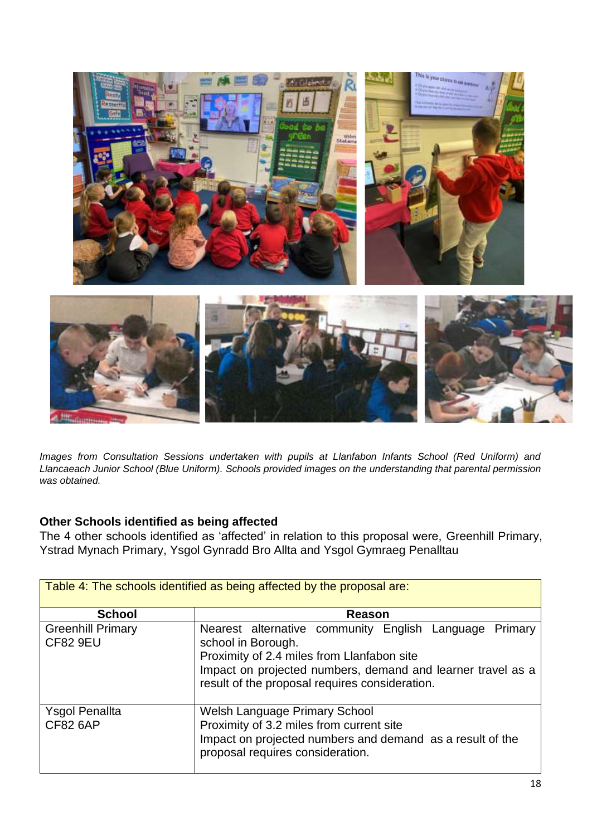

*Images from Consultation Sessions undertaken with pupils at Llanfabon Infants School (Red Uniform) and Llancaeach Junior School (Blue Uniform). Schools provided images on the understanding that parental permission was obtained.*

### **Other Schools identified as being affected**

The 4 other schools identified as 'affected' in relation to this proposal were, Greenhill Primary, Ystrad Mynach Primary, Ysgol Gynradd Bro Allta and Ysgol Gymraeg Penalltau

| Table 4: The schools identified as being affected by the proposal are: |                                                                                                                                                                                                                                             |  |  |
|------------------------------------------------------------------------|---------------------------------------------------------------------------------------------------------------------------------------------------------------------------------------------------------------------------------------------|--|--|
| <b>School</b>                                                          | Reason                                                                                                                                                                                                                                      |  |  |
| <b>Greenhill Primary</b><br><b>CF82 9EU</b>                            | Nearest alternative community English Language Primary<br>school in Borough.<br>Proximity of 2.4 miles from Llanfabon site<br>Impact on projected numbers, demand and learner travel as a<br>result of the proposal requires consideration. |  |  |
| <b>Ysgol Penallta</b><br><b>CF82 6AP</b>                               | Welsh Language Primary School<br>Proximity of 3.2 miles from current site<br>Impact on projected numbers and demand as a result of the<br>proposal requires consideration.                                                                  |  |  |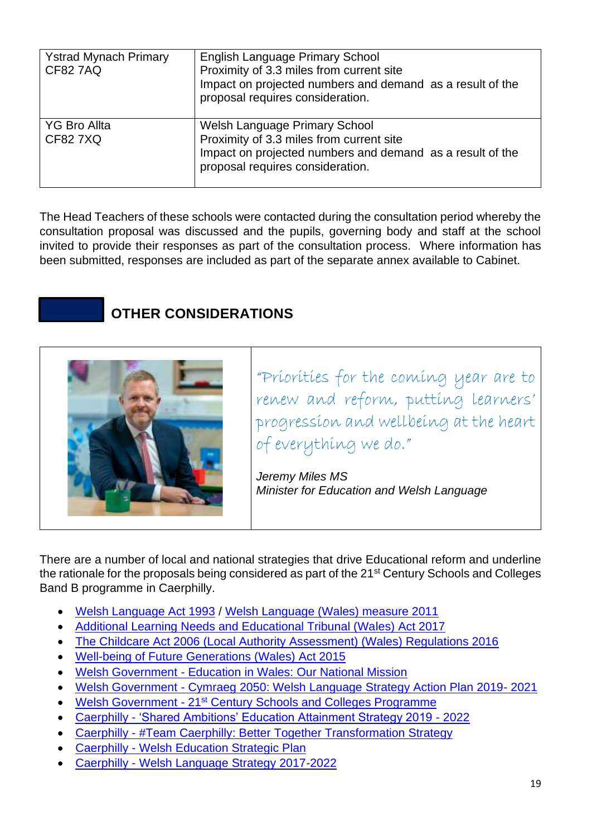| <b>Ystrad Mynach Primary</b><br><b>CF82 7AQ</b> | English Language Primary School<br>Proximity of 3.3 miles from current site<br>Impact on projected numbers and demand as a result of the<br>proposal requires consideration. |
|-------------------------------------------------|------------------------------------------------------------------------------------------------------------------------------------------------------------------------------|
| <b>YG Bro Allta</b><br><b>CF827XQ</b>           | Welsh Language Primary School<br>Proximity of 3.3 miles from current site<br>Impact on projected numbers and demand as a result of the<br>proposal requires consideration.   |

The Head Teachers of these schools were contacted during the consultation period whereby the consultation proposal was discussed and the pupils, governing body and staff at the school invited to provide their responses as part of the consultation process. Where information has been submitted, responses are included as part of the separate annex available to Cabinet.

### **OTHER CONSIDERATIONS**

<span id="page-18-0"></span>

"Priorities for the coming year are to renew and reform, putting learners' progression and wellbeing at the heart of everything we do."

*Jeremy Miles MS Minister for Education and Welsh Language*

There are a number of local and national strategies that drive Educational reform and underline the rationale for the proposals being considered as part of the 21<sup>st</sup> Century Schools and Colleges Band B programme in Caerphilly.

- [Welsh Language Act 1993](https://www.legislation.gov.uk/ukpga/1993/38/contents?lang=en) / [Welsh Language \(Wales\) measure 2011](https://www.legislation.gov.uk/mwa/2011/1/contents?lang=en)
- [Additional Learning Needs and Educational Tribunal \(Wales\) Act 2017](https://gov.wales/additional-learning-needs-and-education-tribunal-wales-act)
- [The Childcare Act 2006 \(Local Authority Assessment\) \(Wales\) Regulations 2016](https://www.legislation.gov.uk/wsi/2016/88/schedule/made)
- [Well-being of Future Generations \(Wales\) Act 2015](https://www.legislation.gov.uk/anaw/2015/2/contents/enacted)
- Welsh Government [Education in Wales: Our National Mission](https://gov.wales/sites/default/files/publications/2020-10/education-in-Wales-our-national-mission-update-october-2020.pdf)
- Welsh Government [Cymraeg 2050: Welsh Language Strategy Action Plan 2019-](https://gov.wales/cymraeg-2050-welsh-language-strategy-action-plan-2019-2020)2021
- Welsh Government 21<sup>st</sup> [Century Schools and Colleges Programme](https://gov.wales/21st-century-schools-programme)
- Caerphilly ['Shared Ambitions' Education Attainment Strategy 2019 -](https://www.caerphilly.gov.uk/CaerphillyDocs/Schools/EducationAttainmentStrategy2019.aspx) 2022
- Caerphilly [#Team Caerphilly: Better Together Transformation Strategy](https://www.caerphilly.gov.uk/tc-eng/)
- Caerphilly [Welsh Education Strategic Plan](https://www.caerphilly.gov.uk/My-Council/Strategies,-plans-and-policies/Education/Welsh-Education-Strategic-Plan)
- Caerphilly [Welsh Language Strategy 2017-2022](https://www.caerphilly.gov.uk/My-Council/Strategies,-plans-and-policies/Equalities/Welsh-Language-Strategy)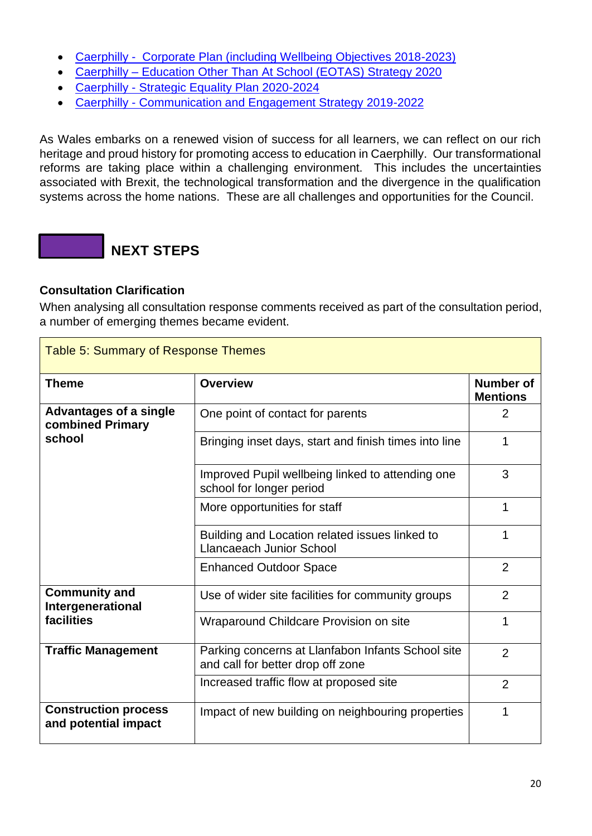- [Caerphilly Corporate Plan \(including Wellbeing Objectives 2018-2023\)](https://www.caerphilly.gov.uk/My-Council/Strategies,-plans-and-policies/Improvement-Plan/Improvement-Objectives)
- Caerphilly [Education Other Than At School](https://democracy.caerphilly.gov.uk/documents/s31849/Appendix%201%20EOTAS%20Strategy.pdf) (EOTAS) Strategy 2020
- Caerphilly [Strategic Equality Plan 2020-2024](https://www.caerphilly.gov.uk/My-Council/Strategies,-plans-and-policies/Equalities/Strategic-Equality-Plan)
- Caerphilly [Communication and Engagement Strategy 2019-2022](https://www.caerphilly.gov.uk/My-Council/Strategies,-plans-and-policies/Corporate-strategies,-plans-and-policies/Communications-and-Engagement-Strategy-2019-2022)

As Wales embarks on a renewed vision of success for all learners, we can reflect on our rich heritage and proud history for promoting access to education in Caerphilly. Our transformational reforms are taking place within a challenging environment. This includes the uncertainties associated with Brexit, the technological transformation and the divergence in the qualification systems across the home nations. These are all challenges and opportunities for the Council.

### **NEXT STEPS**

### <span id="page-19-0"></span>**Consultation Clarification**

 $\blacksquare$ 

When analysing all consultation response comments received as part of the consultation period, a number of emerging themes became evident.

| <b>Table 5: Summary of Response Themes</b>          |                                                                                        |                                     |  |  |
|-----------------------------------------------------|----------------------------------------------------------------------------------------|-------------------------------------|--|--|
| <b>Theme</b>                                        | <b>Overview</b>                                                                        | <b>Number of</b><br><b>Mentions</b> |  |  |
| <b>Advantages of a single</b><br>combined Primary   | One point of contact for parents                                                       | $\overline{2}$                      |  |  |
| school                                              | Bringing inset days, start and finish times into line                                  | 1                                   |  |  |
|                                                     | Improved Pupil wellbeing linked to attending one<br>school for longer period           | 3                                   |  |  |
|                                                     | More opportunities for staff                                                           | 1                                   |  |  |
|                                                     | Building and Location related issues linked to<br><b>Llancaeach Junior School</b>      | 1                                   |  |  |
|                                                     | <b>Enhanced Outdoor Space</b>                                                          | $\overline{2}$                      |  |  |
| <b>Community and</b><br>Intergenerational           | Use of wider site facilities for community groups                                      | $\overline{2}$                      |  |  |
| facilities                                          | Wraparound Childcare Provision on site                                                 | 1                                   |  |  |
| <b>Traffic Management</b>                           | Parking concerns at Llanfabon Infants School site<br>and call for better drop off zone | $\overline{2}$                      |  |  |
|                                                     | Increased traffic flow at proposed site                                                | $\overline{2}$                      |  |  |
| <b>Construction process</b><br>and potential impact | Impact of new building on neighbouring properties                                      | 1                                   |  |  |

h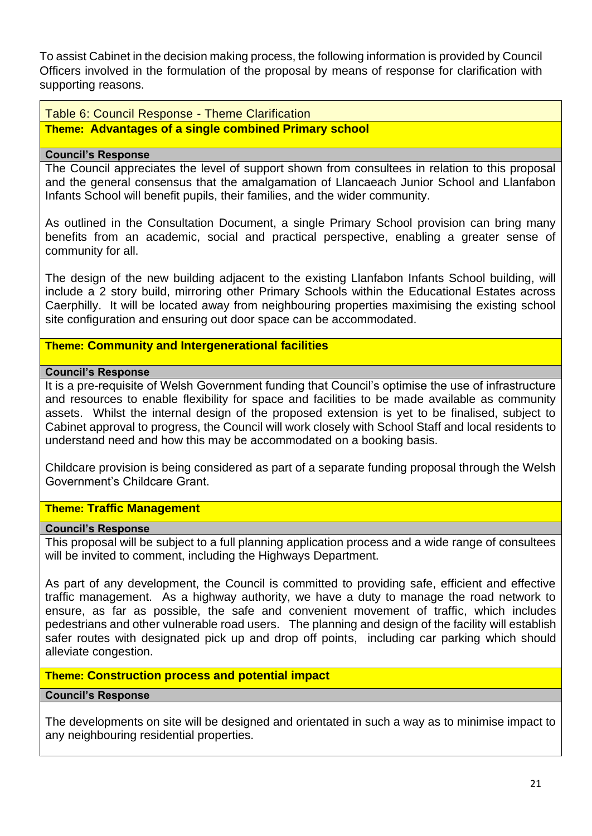To assist Cabinet in the decision making process, the following information is provided by Council Officers involved in the formulation of the proposal by means of response for clarification with supporting reasons.

Table 6: Council Response - Theme Clarification

### **Theme: Advantages of a single combined Primary school**

### **Council's Response**

The Council appreciates the level of support shown from consultees in relation to this proposal and the general consensus that the amalgamation of Llancaeach Junior School and Llanfabon Infants School will benefit pupils, their families, and the wider community.

As outlined in the Consultation Document, a single Primary School provision can bring many benefits from an academic, social and practical perspective, enabling a greater sense of community for all.

The design of the new building adjacent to the existing Llanfabon Infants School building, will include a 2 story build, mirroring other Primary Schools within the Educational Estates across Caerphilly. It will be located away from neighbouring properties maximising the existing school site configuration and ensuring out door space can be accommodated.

### **Theme: Community and Intergenerational facilities**

### **Council's Response**

It is a pre-requisite of Welsh Government funding that Council's optimise the use of infrastructure and resources to enable flexibility for space and facilities to be made available as community assets. Whilst the internal design of the proposed extension is yet to be finalised, subject to Cabinet approval to progress, the Council will work closely with School Staff and local residents to understand need and how this may be accommodated on a booking basis.

Childcare provision is being considered as part of a separate funding proposal through the Welsh Government's Childcare Grant.

### **Theme: Traffic Management**

### **Council's Response**

This proposal will be subject to a full planning application process and a wide range of consultees will be invited to comment, including the Highways Department.

As part of any development, the Council is committed to providing safe, efficient and effective traffic management. As a highway authority, we have a duty to manage the road network to ensure, as far as possible, the safe and convenient movement of traffic, which includes pedestrians and other vulnerable road users. The planning and design of the facility will establish safer routes with designated pick up and drop off points, including car parking which should alleviate congestion.

### **Theme: Construction process and potential impact**

### **Council's Response**

The developments on site will be designed and orientated in such a way as to minimise impact to any neighbouring residential properties.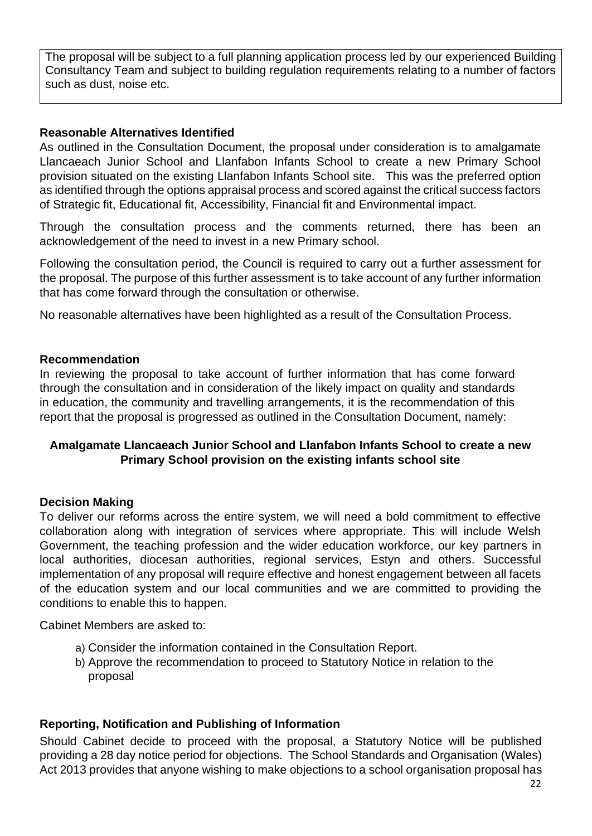The proposal will be subject to a full planning application process led by our experienced Building Consultancy Team and subject to building regulation requirements relating to a number of factors such as dust, noise etc.

### <span id="page-21-0"></span>**Reasonable Alternatives Identified**

As outlined in the Consultation Document, the proposal under consideration is to amalgamate Llancaeach Junior School and Llanfabon Infants School to create a new Primary School provision situated on the existing Llanfabon Infants School site. This was the preferred option as identified through the options appraisal process and scored against the critical success factors of Strategic fit, Educational fit, Accessibility, Financial fit and Environmental impact.

Through the consultation process and the comments returned, there has been an acknowledgement of the need to invest in a new Primary school.

Following the consultation period, the Council is required to carry out a further assessment for the proposal. The purpose of this further assessment is to take account of any further information that has come forward through the consultation or otherwise.

No reasonable alternatives have been highlighted as a result of the Consultation Process.

### <span id="page-21-1"></span>**Recommendation**

In reviewing the proposal to take account of further information that has come forward through the consultation and in consideration of the likely impact on quality and standards in education, the community and travelling arrangements, it is the recommendation of this report that the proposal is progressed as outlined in the Consultation Document, namely:

### **Amalgamate Llancaeach Junior School and Llanfabon Infants School to create a new Primary School provision on the existing infants school site**

### <span id="page-21-2"></span>**Decision Making**

To deliver our reforms across the entire system, we will need a bold commitment to effective collaboration along with integration of services where appropriate. This will include Welsh Government, the teaching profession and the wider education workforce, our key partners in local authorities, diocesan authorities, regional services, Estyn and others. Successful implementation of any proposal will require effective and honest engagement between all facets of the education system and our local communities and we are committed to providing the conditions to enable this to happen.

Cabinet Members are asked to:

- a) Consider the information contained in the Consultation Report.
- b) Approve the recommendation to proceed to Statutory Notice in relation to the proposal

### **Reporting, Notification and Publishing of Information**

Should Cabinet decide to proceed with the proposal, a Statutory Notice will be published providing a 28 day notice period for objections. The School Standards and Organisation (Wales) Act 2013 provides that anyone wishing to make objections to a school organisation proposal has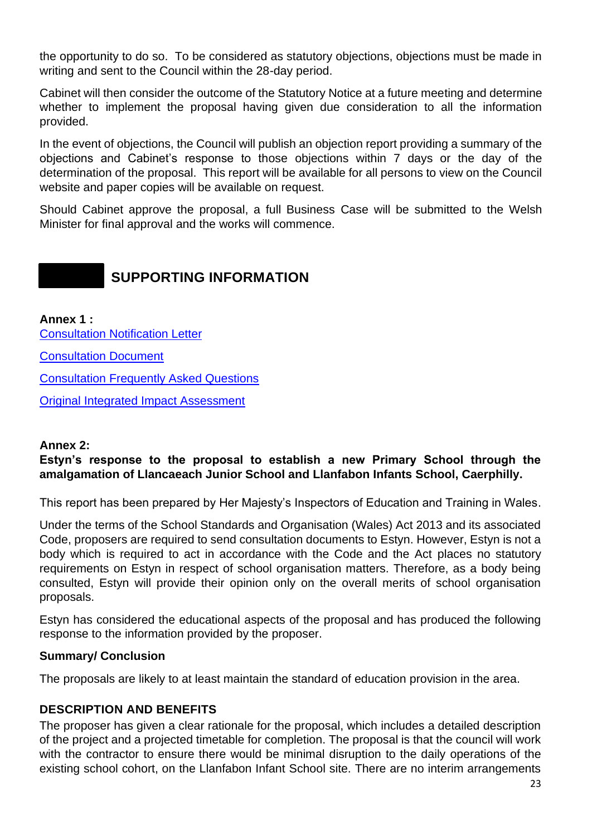the opportunity to do so. To be considered as statutory objections, objections must be made in writing and sent to the Council within the 28-day period.

Cabinet will then consider the outcome of the Statutory Notice at a future meeting and determine whether to implement the proposal having given due consideration to all the information provided.

In the event of objections, the Council will publish an objection report providing a summary of the objections and Cabinet's response to those objections within 7 days or the day of the determination of the proposal. This report will be available for all persons to view on the Council website and paper copies will be available on request.

Should Cabinet approve the proposal, a full Business Case will be submitted to the Welsh Minister for final approval and the works will commence.

### **SUPPORTING INFORMATION**

<span id="page-22-0"></span>**Annex 1 :** [Consultation Notification Letter](https://www.caerphilly.gov.uk/CaerphillyDocs/Consultations/21st-century/notification-letter-llancaeach-llanfabon.aspx) [Consultation Document](https://www.caerphilly.gov.uk/CaerphillyDocs/Consultations/21st-century/consultation-document-llancaeach-llanfabon.aspx) [Consultation Frequently Asked Questions](https://www.caerphilly.gov.uk/Services/Schools-and-learning/21st-Century-Schools/general-consultations-faqs) Original Integrated [Impact Assessment](https://www.caerphilly.gov.uk/CaerphillyDocs/Consultations/21st-century/integrated-impact-assessment-llancaeach-llanfabon.aspx)

### <span id="page-22-1"></span>**Annex 2:**

### **Estyn's response to the proposal to establish a new Primary School through the amalgamation of Llancaeach Junior School and Llanfabon Infants School, Caerphilly.**

This report has been prepared by Her Majesty's Inspectors of Education and Training in Wales.

Under the terms of the School Standards and Organisation (Wales) Act 2013 and its associated Code, proposers are required to send consultation documents to Estyn. However, Estyn is not a body which is required to act in accordance with the Code and the Act places no statutory requirements on Estyn in respect of school organisation matters. Therefore, as a body being consulted, Estyn will provide their opinion only on the overall merits of school organisation proposals.

Estyn has considered the educational aspects of the proposal and has produced the following response to the information provided by the proposer.

### **Summary/ Conclusion**

The proposals are likely to at least maintain the standard of education provision in the area.

### **DESCRIPTION AND BENEFITS**

The proposer has given a clear rationale for the proposal, which includes a detailed description of the project and a projected timetable for completion. The proposal is that the council will work with the contractor to ensure there would be minimal disruption to the daily operations of the existing school cohort, on the Llanfabon Infant School site. There are no interim arrangements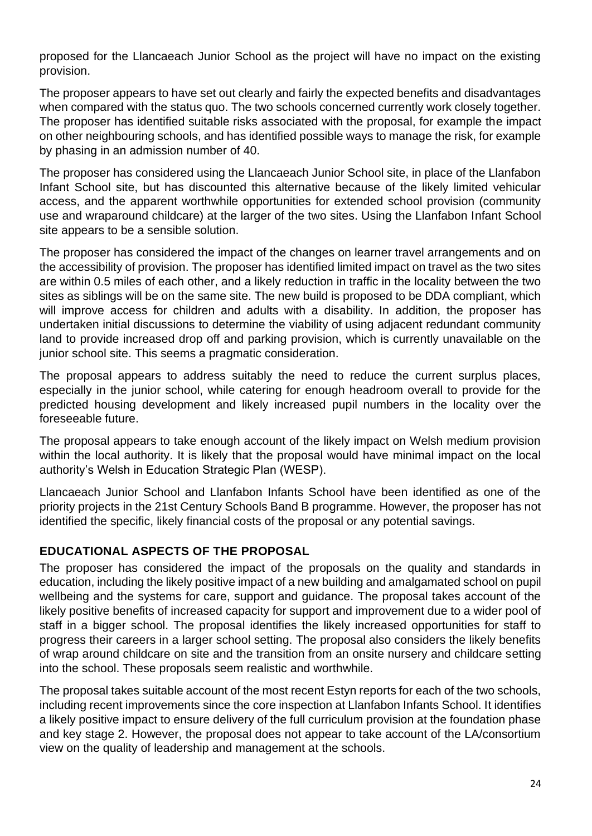proposed for the Llancaeach Junior School as the project will have no impact on the existing provision.

The proposer appears to have set out clearly and fairly the expected benefits and disadvantages when compared with the status quo. The two schools concerned currently work closely together. The proposer has identified suitable risks associated with the proposal, for example the impact on other neighbouring schools, and has identified possible ways to manage the risk, for example by phasing in an admission number of 40.

The proposer has considered using the Llancaeach Junior School site, in place of the Llanfabon Infant School site, but has discounted this alternative because of the likely limited vehicular access, and the apparent worthwhile opportunities for extended school provision (community use and wraparound childcare) at the larger of the two sites. Using the Llanfabon Infant School site appears to be a sensible solution.

The proposer has considered the impact of the changes on learner travel arrangements and on the accessibility of provision. The proposer has identified limited impact on travel as the two sites are within 0.5 miles of each other, and a likely reduction in traffic in the locality between the two sites as siblings will be on the same site. The new build is proposed to be DDA compliant, which will improve access for children and adults with a disability. In addition, the proposer has undertaken initial discussions to determine the viability of using adjacent redundant community land to provide increased drop off and parking provision, which is currently unavailable on the junior school site. This seems a pragmatic consideration.

The proposal appears to address suitably the need to reduce the current surplus places, especially in the junior school, while catering for enough headroom overall to provide for the predicted housing development and likely increased pupil numbers in the locality over the foreseeable future.

The proposal appears to take enough account of the likely impact on Welsh medium provision within the local authority. It is likely that the proposal would have minimal impact on the local authority's Welsh in Education Strategic Plan (WESP).

Llancaeach Junior School and Llanfabon Infants School have been identified as one of the priority projects in the 21st Century Schools Band B programme. However, the proposer has not identified the specific, likely financial costs of the proposal or any potential savings.

### **EDUCATIONAL ASPECTS OF THE PROPOSAL**

The proposer has considered the impact of the proposals on the quality and standards in education, including the likely positive impact of a new building and amalgamated school on pupil wellbeing and the systems for care, support and guidance. The proposal takes account of the likely positive benefits of increased capacity for support and improvement due to a wider pool of staff in a bigger school. The proposal identifies the likely increased opportunities for staff to progress their careers in a larger school setting. The proposal also considers the likely benefits of wrap around childcare on site and the transition from an onsite nursery and childcare setting into the school. These proposals seem realistic and worthwhile.

The proposal takes suitable account of the most recent Estyn reports for each of the two schools, including recent improvements since the core inspection at Llanfabon Infants School. It identifies a likely positive impact to ensure delivery of the full curriculum provision at the foundation phase and key stage 2. However, the proposal does not appear to take account of the LA/consortium view on the quality of leadership and management at the schools.